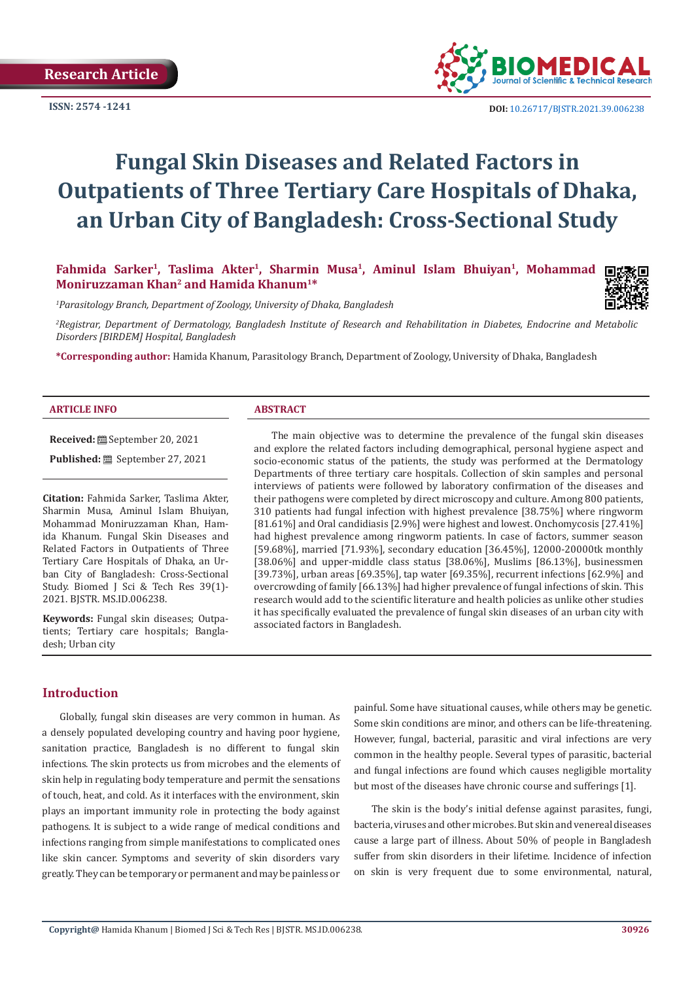**ISSN: 2574 -1241**



# **Fungal Skin Diseases and Related Factors in Outpatients of Three Tertiary Care Hospitals of Dhaka, an Urban City of Bangladesh: Cross-Sectional Study**

Fahmida Sarker<sup>1</sup>, Taslima Akter<sup>1</sup>, Sharmin Musa<sup>1</sup>, Aminul Islam Bhuiyan<sup>1</sup>, Mohammad **Moniruzzaman Khan2 and Hamida Khanum1\***



*2 Registrar, Department of Dermatology, Bangladesh Institute of Research and Rehabilitation in Diabetes, Endocrine and Metabolic Disorders [BIRDEM] Hospital, Bangladesh*

**\*Corresponding author:** Hamida Khanum, Parasitology Branch, Department of Zoology, University of Dhaka, Bangladesh

#### **ARTICLE INFO ABSTRACT**

**Received:** September 20, 2021

**Published:** ■ September 27, 2021

**Citation:** Fahmida Sarker, Taslima Akter, Sharmin Musa, Aminul Islam Bhuiyan, Mohammad Moniruzzaman Khan, Hamida Khanum. Fungal Skin Diseases and Related Factors in Outpatients of Three Tertiary Care Hospitals of Dhaka, an Urban City of Bangladesh: Cross-Sectional Study. Biomed J Sci & Tech Res 39(1)- 2021. BJSTR. MS.ID.006238.

**Keywords:** Fungal skin diseases; Outpatients; Tertiary care hospitals; Bangladesh; Urban city

The main objective was to determine the prevalence of the fungal skin diseases and explore the related factors including demographical, personal hygiene aspect and socio-economic status of the patients, the study was performed at the Dermatology Departments of three tertiary care hospitals. Collection of skin samples and personal interviews of patients were followed by laboratory confirmation of the diseases and their pathogens were completed by direct microscopy and culture. Among 800 patients, 310 patients had fungal infection with highest prevalence [38.75%] where ringworm [81.61%] and Oral candidiasis [2.9%] were highest and lowest. Onchomycosis [27.41%] had highest prevalence among ringworm patients. In case of factors, summer season [59.68%], married [71.93%], secondary education [36.45%], 12000-20000tk monthly [38.06%] and upper-middle class status [38.06%], Muslims [86.13%], businessmen [39.73%], urban areas [69.35%], tap water [69.35%], recurrent infections [62.9%] and overcrowding of family [66.13%] had higher prevalence of fungal infections of skin. This research would add to the scientific literature and health policies as unlike other studies it has specifically evaluated the prevalence of fungal skin diseases of an urban city with associated factors in Bangladesh.

### **Introduction**

Globally, fungal skin diseases are very common in human. As a densely populated developing country and having poor hygiene, sanitation practice, Bangladesh is no different to fungal skin infections. The skin protects us from microbes and the elements of skin help in regulating body temperature and permit the sensations of touch, heat, and cold. As it interfaces with the environment, skin plays an important immunity role in protecting the body against pathogens. It is subject to a wide range of medical conditions and infections ranging from simple manifestations to complicated ones like skin cancer. Symptoms and severity of skin disorders vary greatly. They can be temporary or permanent and may be painless or

painful. Some have situational causes, while others may be genetic. Some skin conditions are minor, and others can be life-threatening. However, fungal, bacterial, parasitic and viral infections are very common in the healthy people. Several types of parasitic, bacterial and fungal infections are found which causes negligible mortality but most of the diseases have chronic course and sufferings [1].

The skin is the body's initial defense against parasites, fungi, bacteria, viruses and other microbes. But skin and venereal diseases cause a large part of illness. About 50% of people in Bangladesh suffer from skin disorders in their lifetime. Incidence of infection on skin is very frequent due to some environmental, natural,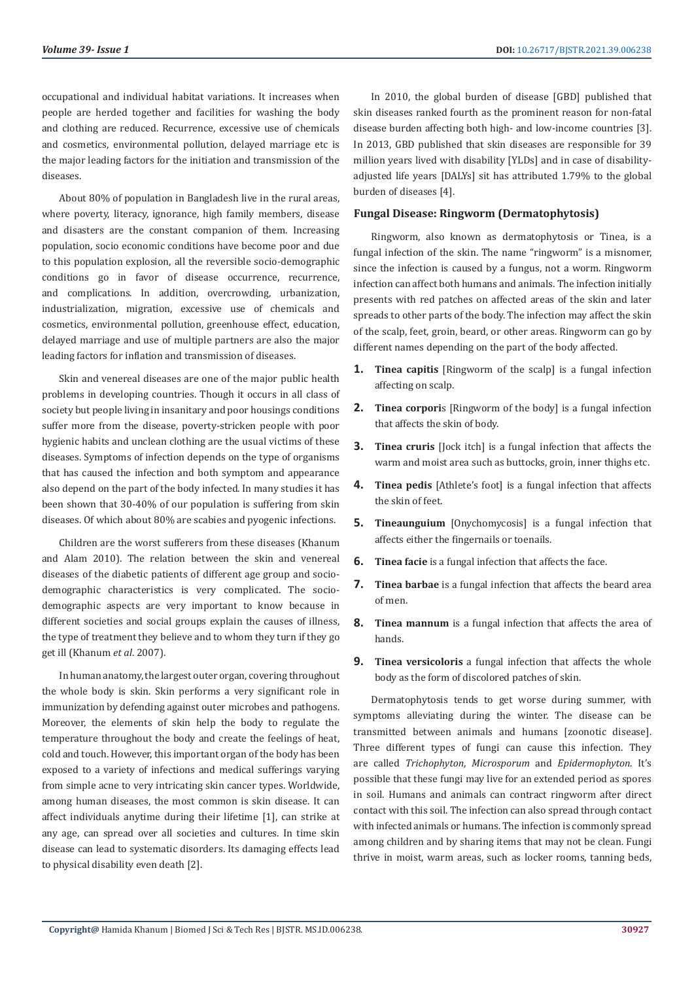occupational and individual habitat variations. It increases when people are herded together and facilities for washing the body and clothing are reduced. Recurrence, excessive use of chemicals and cosmetics, environmental pollution, delayed marriage etc is the major leading factors for the initiation and transmission of the diseases.

About 80% of population in Bangladesh live in the rural areas, where poverty, literacy, ignorance, high family members, disease and disasters are the constant companion of them. Increasing population, socio economic conditions have become poor and due to this population explosion, all the reversible socio-demographic conditions go in favor of disease occurrence, recurrence, and complications. In addition, overcrowding, urbanization, industrialization, migration, excessive use of chemicals and cosmetics, environmental pollution, greenhouse effect, education, delayed marriage and use of multiple partners are also the major leading factors for inflation and transmission of diseases.

Skin and venereal diseases are one of the major public health problems in developing countries. Though it occurs in all class of society but people living in insanitary and poor housings conditions suffer more from the disease, poverty-stricken people with poor hygienic habits and unclean clothing are the usual victims of these diseases. Symptoms of infection depends on the type of organisms that has caused the infection and both symptom and appearance also depend on the part of the body infected. In many studies it has been shown that 30-40% of our population is suffering from skin diseases. Of which about 80% are scabies and pyogenic infections.

Children are the worst sufferers from these diseases (Khanum and Alam 2010). The relation between the skin and venereal diseases of the diabetic patients of different age group and sociodemographic characteristics is very complicated. The sociodemographic aspects are very important to know because in different societies and social groups explain the causes of illness, the type of treatment they believe and to whom they turn if they go get ill (Khanum *et al*. 2007).

In human anatomy, the largest outer organ, covering throughout the whole body is skin. Skin performs a very significant role in immunization by defending against outer microbes and pathogens. Moreover, the elements of skin help the body to regulate the temperature throughout the body and create the feelings of heat, cold and touch. However, this important organ of the body has been exposed to a variety of infections and medical sufferings varying from simple acne to very intricating skin cancer types. Worldwide, among human diseases, the most common is skin disease. It can affect individuals anytime during their lifetime [1], can strike at any age, can spread over all societies and cultures. In time skin disease can lead to systematic disorders. Its damaging effects lead to physical disability even death [2].

In 2010, the global burden of disease [GBD] published that skin diseases ranked fourth as the prominent reason for non-fatal disease burden affecting both high- and low-income countries [3]. In 2013, GBD published that skin diseases are responsible for 39 million years lived with disability [YLDs] and in case of disabilityadjusted life years [DALYs] sit has attributed 1.79% to the global burden of diseases [4].

#### **Fungal Disease: Ringworm (Dermatophytosis)**

Ringworm, also known as dermatophytosis or Tinea, is a fungal infection of the skin. The name "ringworm" is a misnomer, since the infection is caused by a fungus, not a worm. Ringworm infection can affect both humans and animals. The infection initially presents with red patches on affected areas of the skin and later spreads to other parts of the body. The infection may affect the skin of the scalp, feet, groin, beard, or other areas. Ringworm can go by different names depending on the part of the body affected.

- **1. Tinea capitis** [Ringworm of the scalp] is a fungal infection affecting on scalp.
- **2. Tinea corpori**s [Ringworm of the body] is a fungal infection that affects the skin of body.
- **3. Tinea cruris** [Jock itch] is a fungal infection that affects the warm and moist area such as buttocks, groin, inner thighs etc.
- **4. Tinea pedis** [Athlete's foot] is a fungal infection that affects the skin of feet.
- **5. Tineaunguium** [Onychomycosis] is a fungal infection that affects either the fingernails or toenails.
- **6. Tinea facie** is a fungal infection that affects the face.
- **7. Tinea barbae** is a fungal infection that affects the beard area of men.
- **8. Tinea mannum** is a fungal infection that affects the area of hands.
- **9. Tinea versicoloris** a fungal infection that affects the whole body as the form of discolored patches of skin.

Dermatophytosis tends to get worse during summer, with symptoms alleviating during the winter. The disease can be transmitted between animals and humans [zoonotic disease]. Three different types of fungi can cause this infection. They are called *Trichophyton*, *Microsporum* and *Epidermophyton*. It's possible that these fungi may live for an extended period as spores in soil. Humans and animals can contract ringworm after direct contact with this soil. The infection can also spread through contact with infected animals or humans. The infection is commonly spread among children and by sharing items that may not be clean. Fungi thrive in moist, warm areas, such as locker rooms, tanning beds,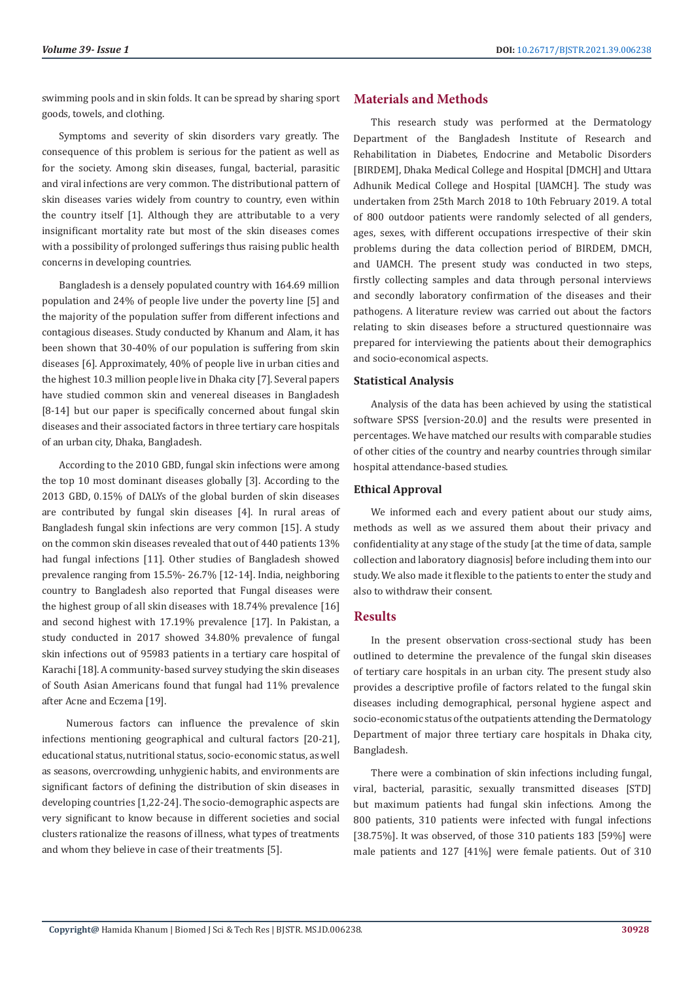swimming pools and in skin folds. It can be spread by sharing sport goods, towels, and clothing.

Symptoms and severity of skin disorders vary greatly. The consequence of this problem is serious for the patient as well as for the society. Among skin diseases, fungal, bacterial, parasitic and viral infections are very common. The distributional pattern of skin diseases varies widely from country to country, even within the country itself [1]. Although they are attributable to a very insignificant mortality rate but most of the skin diseases comes with a possibility of prolonged sufferings thus raising public health concerns in developing countries.

Bangladesh is a densely populated country with 164.69 million population and 24% of people live under the poverty line [5] and the majority of the population suffer from different infections and contagious diseases. Study conducted by Khanum and Alam, it has been shown that 30-40% of our population is suffering from skin diseases [6]. Approximately, 40% of people live in urban cities and the highest 10.3 million people live in Dhaka city [7]. Several papers have studied common skin and venereal diseases in Bangladesh [8-14] but our paper is specifically concerned about fungal skin diseases and their associated factors in three tertiary care hospitals of an urban city, Dhaka, Bangladesh.

According to the 2010 GBD, fungal skin infections were among the top 10 most dominant diseases globally [3]. According to the 2013 GBD, 0.15% of DALYs of the global burden of skin diseases are contributed by fungal skin diseases [4]. In rural areas of Bangladesh fungal skin infections are very common [15]. A study on the common skin diseases revealed that out of 440 patients 13% had fungal infections [11]. Other studies of Bangladesh showed prevalence ranging from 15.5%- 26.7% [12-14]. India, neighboring country to Bangladesh also reported that Fungal diseases were the highest group of all skin diseases with 18.74% prevalence [16] and second highest with 17.19% prevalence [17]. In Pakistan, a study conducted in 2017 showed 34.80% prevalence of fungal skin infections out of 95983 patients in a tertiary care hospital of Karachi [18]. A community-based survey studying the skin diseases of South Asian Americans found that fungal had 11% prevalence after Acne and Eczema [19].

 Numerous factors can influence the prevalence of skin infections mentioning geographical and cultural factors [20-21], educational status, nutritional status, socio-economic status, as well as seasons, overcrowding, unhygienic habits, and environments are significant factors of defining the distribution of skin diseases in developing countries [1,22-24]. The socio-demographic aspects are very significant to know because in different societies and social clusters rationalize the reasons of illness, what types of treatments and whom they believe in case of their treatments [5].

# **Materials and Methods**

This research study was performed at the Dermatology Department of the Bangladesh Institute of Research and Rehabilitation in Diabetes, Endocrine and Metabolic Disorders [BIRDEM], Dhaka Medical College and Hospital [DMCH] and Uttara Adhunik Medical College and Hospital [UAMCH]. The study was undertaken from 25th March 2018 to 10th February 2019. A total of 800 outdoor patients were randomly selected of all genders, ages, sexes, with different occupations irrespective of their skin problems during the data collection period of BIRDEM, DMCH, and UAMCH. The present study was conducted in two steps, firstly collecting samples and data through personal interviews and secondly laboratory confirmation of the diseases and their pathogens. A literature review was carried out about the factors relating to skin diseases before a structured questionnaire was prepared for interviewing the patients about their demographics and socio-economical aspects.

#### **Statistical Analysis**

Analysis of the data has been achieved by using the statistical software SPSS [version-20.0] and the results were presented in percentages. We have matched our results with comparable studies of other cities of the country and nearby countries through similar hospital attendance-based studies.

#### **Ethical Approval**

We informed each and every patient about our study aims, methods as well as we assured them about their privacy and confidentiality at any stage of the study [at the time of data, sample collection and laboratory diagnosis] before including them into our study. We also made it flexible to the patients to enter the study and also to withdraw their consent.

#### **Results**

In the present observation cross-sectional study has been outlined to determine the prevalence of the fungal skin diseases of tertiary care hospitals in an urban city. The present study also provides a descriptive profile of factors related to the fungal skin diseases including demographical, personal hygiene aspect and socio-economic status of the outpatients attending the Dermatology Department of major three tertiary care hospitals in Dhaka city, Bangladesh.

There were a combination of skin infections including fungal, viral, bacterial, parasitic, sexually transmitted diseases [STD] but maximum patients had fungal skin infections. Among the 800 patients, 310 patients were infected with fungal infections [38.75%]. It was observed, of those 310 patients 183 [59%] were male patients and 127 [41%] were female patients. Out of 310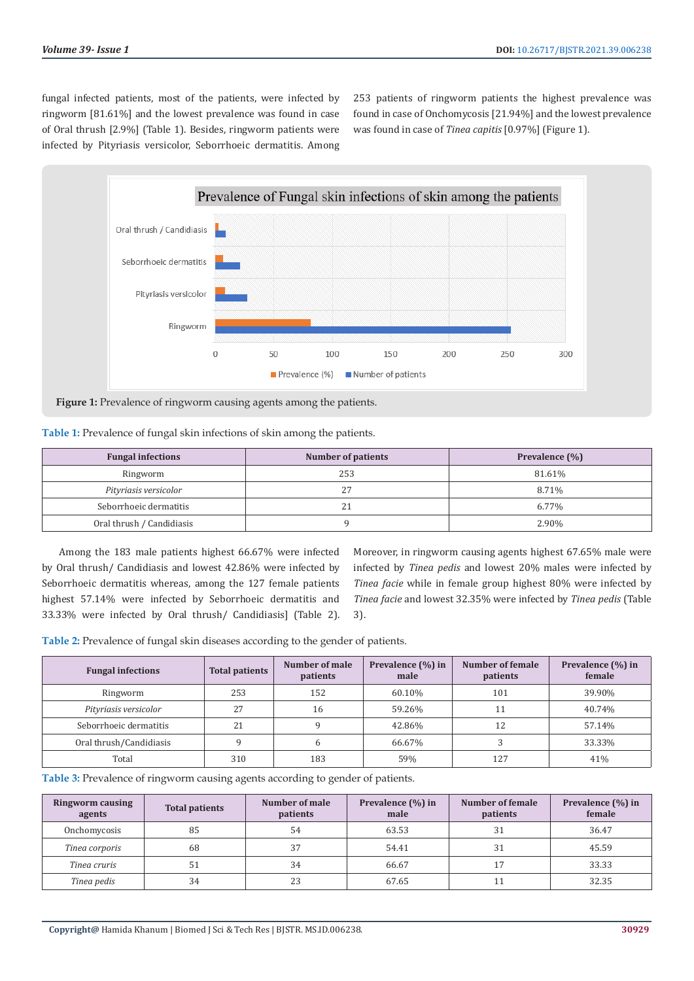fungal infected patients, most of the patients, were infected by ringworm [81.61%] and the lowest prevalence was found in case of Oral thrush [2.9%] (Table 1). Besides, ringworm patients were infected by Pityriasis versicolor, Seborrhoeic dermatitis. Among 253 patients of ringworm patients the highest prevalence was found in case of Onchomycosis [21.94%] and the lowest prevalence was found in case of *Tinea capitis* [0.97%] (Figure 1).



**Figure 1:** Prevalence of ringworm causing agents among the patients.

|  |  | Table 1: Prevalence of fungal skin infections of skin among the patients. |  |  |
|--|--|---------------------------------------------------------------------------|--|--|
|  |  |                                                                           |  |  |

| <b>Fungal infections</b>  | <b>Number of patients</b> | Prevalence (%) |  |
|---------------------------|---------------------------|----------------|--|
| Ringworm                  | 253                       | 81.61%         |  |
| Pityriasis versicolor     |                           | 8.71%          |  |
| Seborrhoeic dermatitis    | 21                        | 6.77%          |  |
| Oral thrush / Candidiasis |                           | 2.90%          |  |

Among the 183 male patients highest 66.67% were infected by Oral thrush/ Candidiasis and lowest 42.86% were infected by Seborrhoeic dermatitis whereas, among the 127 female patients highest 57.14% were infected by Seborrhoeic dermatitis and 33.33% were infected by Oral thrush/ Candidiasis] (Table 2).

Moreover, in ringworm causing agents highest 67.65% male were infected by *Tinea pedis* and lowest 20% males were infected by *Tinea facie* while in female group highest 80% were infected by *Tinea facie* and lowest 32.35% were infected by *Tinea pedis* (Table 3).

**Table 2:** Prevalence of fungal skin diseases according to the gender of patients.

| <b>Fungal infections</b> | <b>Total patients</b> | Number of male<br>patients | Prevalence (%) in<br>male | Number of female<br>patients | Prevalence (%) in<br>female |
|--------------------------|-----------------------|----------------------------|---------------------------|------------------------------|-----------------------------|
| Ringworm                 | 253                   | 152                        | 60.10%                    | 101                          | 39.90%                      |
| Pityriasis versicolor    | 27                    | 16                         | 59.26%                    |                              | 40.74%                      |
| Seborrhoeic dermatitis   | 21                    |                            | 42.86%                    | 12                           | 57.14%                      |
| Oral thrush/Candidiasis  |                       |                            | 66.67%                    |                              | 33.33%                      |
| Total                    | 310                   | 183                        | 59%                       | 127                          | 41%                         |

**Table 3:** Prevalence of ringworm causing agents according to gender of patients.

| <b>Ringworm causing</b><br>agents | <b>Total patients</b> | Number of male<br>patients | Prevalence (%) in<br>male | Number of female<br>patients | Prevalence (%) in<br>female |
|-----------------------------------|-----------------------|----------------------------|---------------------------|------------------------------|-----------------------------|
| Onchomycosis                      | 85                    | 54                         | 63.53                     | 31                           | 36.47                       |
| Tinea corporis                    | 68                    | 37                         | 54.41                     | 31                           | 45.59                       |
| Tinea cruris                      | 51                    | 34                         | 66.67                     |                              | 33.33                       |
| Tinea pedis                       | 34                    | 23                         | 67.65                     |                              | 32.35                       |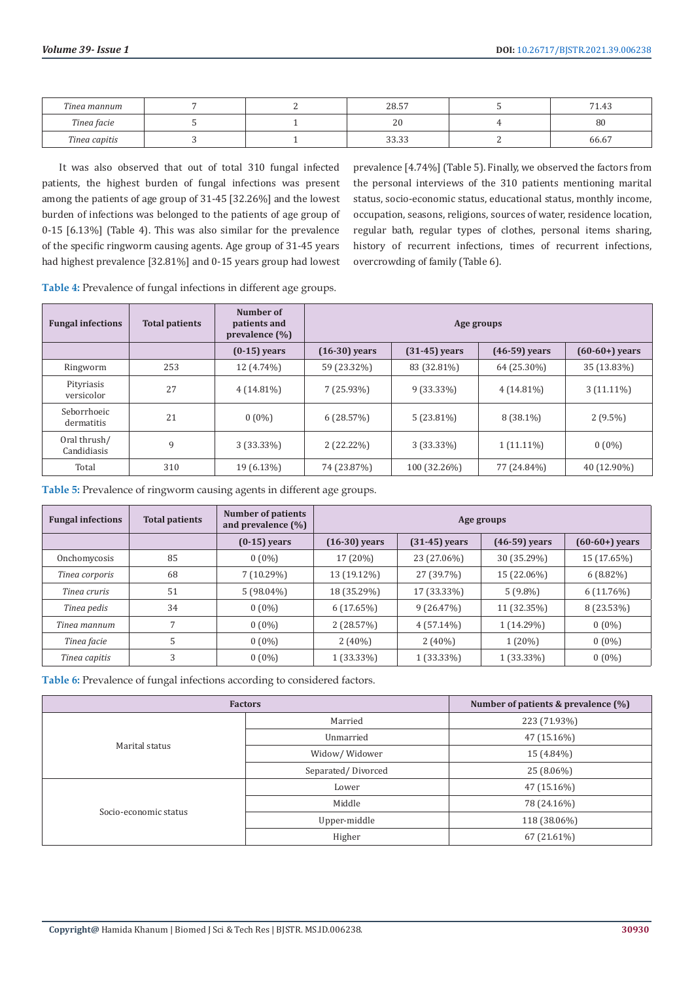| Tinea mannum  |  | 20E7<br>40.J        | 74<br>$\sim$<br>1.43 |
|---------------|--|---------------------|----------------------|
| Tinea facie   |  | $\Omega$<br>ΔU      | 80                   |
| Tinea capitis |  | 222<br><u>JJ.JJ</u> | 66.67                |

It was also observed that out of total 310 fungal infected patients, the highest burden of fungal infections was present among the patients of age group of 31-45 [32.26%] and the lowest burden of infections was belonged to the patients of age group of 0-15 [6.13%] (Table 4). This was also similar for the prevalence of the specific ringworm causing agents. Age group of 31-45 years had highest prevalence [32.81%] and 0-15 years group had lowest

prevalence [4.74%] (Table 5). Finally, we observed the factors from the personal interviews of the 310 patients mentioning marital status, socio-economic status, educational status, monthly income, occupation, seasons, religions, sources of water, residence location, regular bath, regular types of clothes, personal items sharing, history of recurrent infections, times of recurrent infections, overcrowding of family (Table 6).

**Table 4:** Prevalence of fungal infections in different age groups.

| <b>Fungal infections</b>    | <b>Total patients</b> | Number of<br>patients and<br>prevalence $(\% )$ | Age groups      |                 |                 |                  |
|-----------------------------|-----------------------|-------------------------------------------------|-----------------|-----------------|-----------------|------------------|
|                             |                       | $(0-15)$ years                                  | $(16-30)$ years | $(31-45)$ years | $(46-59)$ years | $(60-60+)$ years |
| Ringworm                    | 253                   | 12 (4.74%)                                      | 59 (23.32%)     | 83 (32.81%)     | 64 (25.30%)     | 35 (13.83%)      |
| Pityriasis<br>versicolor    | 27                    | $4(14.81\%)$                                    | $7(25.93\%)$    | $9(33.33\%)$    | $4(14.81\%)$    | $3(11.11\%)$     |
| Seborrhoeic<br>dermatitis   | 21                    | $0(0\%)$                                        | 6(28.57%)       | $5(23.81\%)$    | $8(38.1\%)$     | $2(9.5\%)$       |
| Oral thrush/<br>Candidiasis | 9                     | $3(33.33\%)$                                    | $2(22.22\%)$    | $3(33.33\%)$    | $1(11.11\%)$    | $0(0\%)$         |
| Total                       | 310                   | 19 (6.13%)                                      | 74 (23.87%)     | 100 (32.26%)    | 77 (24.84%)     | 40 (12.90%)      |

**Table 5:** Prevalence of ringworm causing agents in different age groups.

| <b>Fungal infections</b> | <b>Total patients</b> | <b>Number of patients</b><br>and prevalence $(\%)$ | Age groups      |                 |                 |                  |  |
|--------------------------|-----------------------|----------------------------------------------------|-----------------|-----------------|-----------------|------------------|--|
|                          |                       | $(0-15)$ years                                     | $(16-30)$ years | $(31-45)$ years | $(46-59)$ years | $(60-60+)$ years |  |
| Onchomycosis             | 85                    | $0(0\%)$                                           | 17 (20%)        | 23 (27.06%)     | 30 (35.29%)     | 15 (17.65%)      |  |
| Tinea corporis           | 68                    | $7(10.29\%)$                                       | 13 (19.12%)     | 27 (39.7%)      | 15 (22.06%)     | $6(8.82\%)$      |  |
| Tinea cruris             | 51                    | $5(98.04\%)$                                       | 18 (35.29%)     | 17 (33.33%)     | $5(9.8\%)$      | $6(11.76\%)$     |  |
| Tinea pedis              | 34                    | $0(0\%)$                                           | 6(17.65%)       | 9(26.47%)       | 11 (32.35%)     | 8 (23.53%)       |  |
| Tinea mannum             |                       | $0(0\%)$                                           | 2(28.57%)       | $4(57.14\%)$    | 1 (14.29%)      | $0(0\%)$         |  |
| Tinea facie              | 5                     | $0(0\%)$                                           | $2(40\%)$       | $2(40\%)$       | $1(20\%)$       | $0(0\%)$         |  |
| Tinea capitis            | 3                     | $0(0\%)$                                           | 1 (33.33%)      | $1(33.33\%)$    | $1(33.33\%)$    | $0(0\%)$         |  |

**Table 6:** Prevalence of fungal infections according to considered factors.

| <b>Factors</b>        | Number of patients & prevalence $(\%)$ |              |
|-----------------------|----------------------------------------|--------------|
|                       | Married                                | 223 (71.93%) |
| Marital status        | Unmarried                              | 47 (15.16%)  |
|                       | Widow/Widower                          | 15 (4.84%)   |
|                       | Separated/Divorced                     | 25 (8.06%)   |
|                       | Lower                                  | 47 (15.16%)  |
|                       | Middle                                 | 78 (24.16%)  |
| Socio-economic status | Upper-middle                           | 118 (38.06%) |
|                       | Higher                                 | 67 (21.61%)  |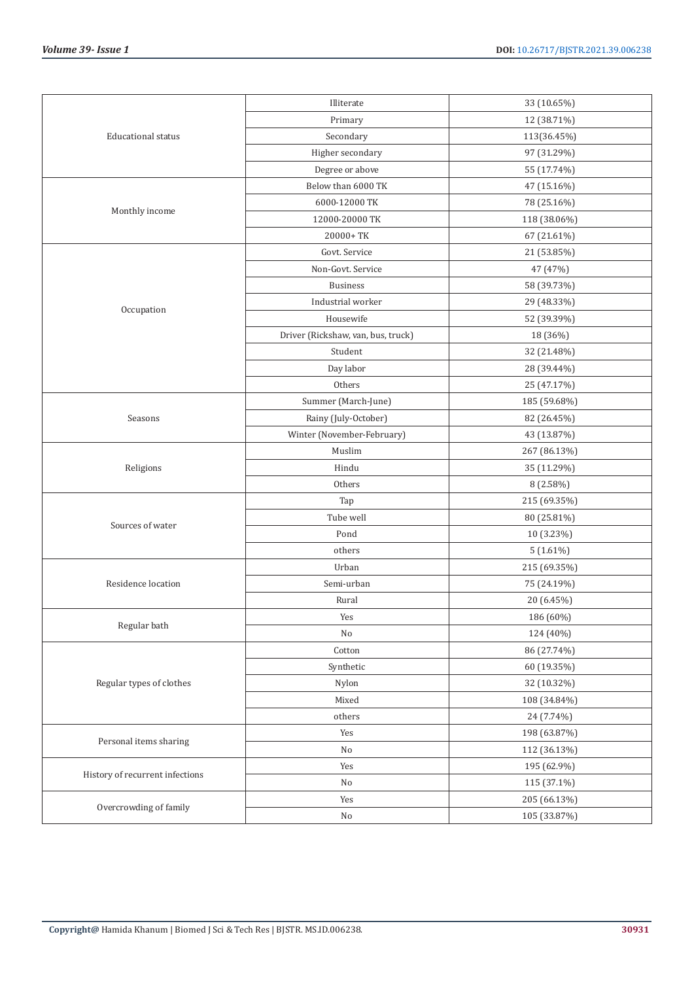|                                 | Illiterate                         | 33 (10.65%)  |
|---------------------------------|------------------------------------|--------------|
|                                 | Primary                            | 12 (38.71%)  |
| <b>Educational status</b>       | Secondary                          | 113(36.45%)  |
|                                 | Higher secondary                   | 97 (31.29%)  |
|                                 | Degree or above                    | 55 (17.74%)  |
|                                 | Below than 6000 TK                 | 47 (15.16%)  |
|                                 | 6000-12000 TK                      | 78 (25.16%)  |
| Monthly income                  | 12000-20000 TK                     | 118 (38.06%) |
|                                 | 20000+TK                           | 67 (21.61%)  |
|                                 | Govt. Service                      | 21 (53.85%)  |
|                                 | Non-Govt. Service                  | 47 (47%)     |
|                                 | <b>Business</b>                    | 58 (39.73%)  |
|                                 | Industrial worker                  | 29 (48.33%)  |
| Occupation                      | Housewife                          | 52 (39.39%)  |
|                                 | Driver (Rickshaw, van, bus, truck) | 18 (36%)     |
|                                 | Student                            | 32 (21.48%)  |
|                                 | Day labor                          | 28 (39.44%)  |
|                                 | Others                             | 25 (47.17%)  |
|                                 | Summer (March-June)                | 185 (59.68%) |
| Seasons                         | Rainy (July-October)               | 82 (26.45%)  |
|                                 | Winter (November-February)         | 43 (13.87%)  |
|                                 | Muslim                             | 267 (86.13%) |
| Religions                       | Hindu                              | 35 (11.29%)  |
|                                 | Others                             | 8 (2.58%)    |
|                                 | Tap                                | 215 (69.35%) |
|                                 | Tube well                          | 80 (25.81%)  |
| Sources of water                | Pond                               | 10 (3.23%)   |
|                                 | others                             | $5(1.61\%)$  |
|                                 | Urban                              | 215 (69.35%) |
| Residence location              | Semi-urban                         | 75 (24.19%)  |
|                                 | Rural                              | 20 (6.45%)   |
|                                 | Yes                                | 186 (60%)    |
| Regular bath                    | No                                 | 124 (40%)    |
|                                 | Cotton                             | 86 (27.74%)  |
|                                 | Synthetic                          | 60 (19.35%)  |
| Regular types of clothes        | Nylon                              | 32 (10.32%)  |
|                                 | Mixed                              | 108 (34.84%) |
|                                 | others                             | 24 (7.74%)   |
|                                 | Yes                                | 198 (63.87%) |
| Personal items sharing          | No                                 | 112 (36.13%) |
|                                 | Yes                                | 195 (62.9%)  |
| History of recurrent infections | No                                 | 115 (37.1%)  |
|                                 | Yes                                | 205 (66.13%) |
| Overcrowding of family          | No                                 | 105 (33.87%) |
|                                 |                                    |              |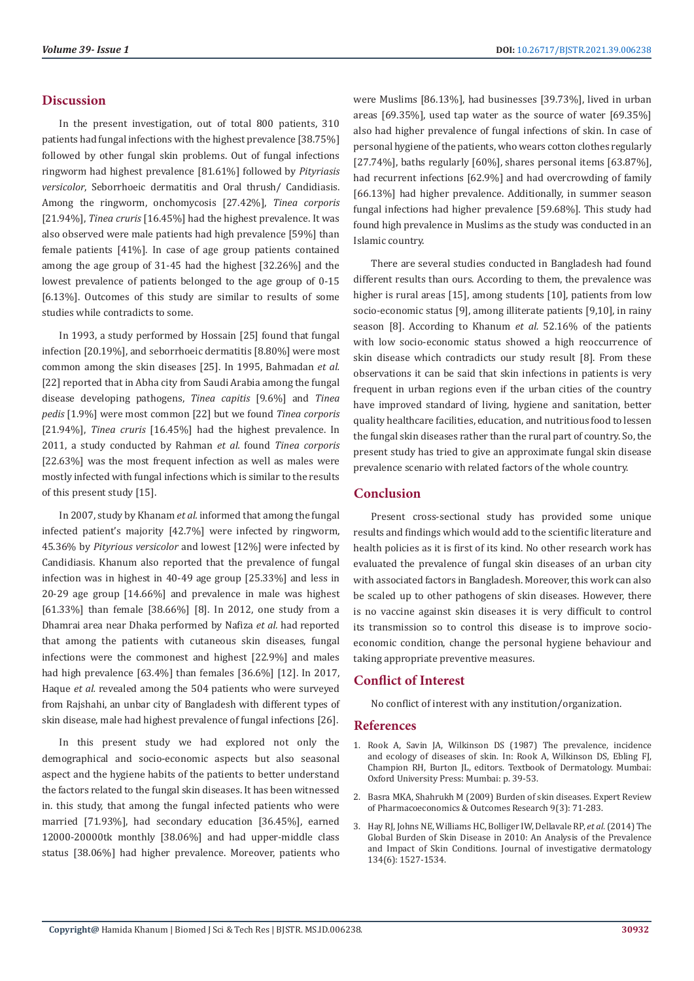### **Discussion**

In the present investigation, out of total 800 patients, 310 patients had fungal infections with the highest prevalence [38.75%] followed by other fungal skin problems. Out of fungal infections ringworm had highest prevalence [81.61%] followed by *Pityriasis versicolor*, Seborrhoeic dermatitis and Oral thrush/ Candidiasis. Among the ringworm, onchomycosis [27.42%], *Tinea corporis* [21.94%], *Tinea cruris* [16.45%] had the highest prevalence. It was also observed were male patients had high prevalence [59%] than female patients [41%]. In case of age group patients contained among the age group of 31-45 had the highest [32.26%] and the lowest prevalence of patients belonged to the age group of 0-15 [6.13%]. Outcomes of this study are similar to results of some studies while contradicts to some.

In 1993, a study performed by Hossain [25] found that fungal infection [20.19%], and seborrhoeic dermatitis [8.80%] were most common among the skin diseases [25]. In 1995, Bahmadan *et al.* [22] reported that in Abha city from Saudi Arabia among the fungal disease developing pathogens, *Tinea capitis* [9.6%] and *Tinea pedis* [1.9%] were most common [22] but we found *Tinea corporis* [21.94%], *Tinea cruris* [16.45%] had the highest prevalence. In 2011, a study conducted by Rahman *et al.* found *Tinea corporis* [22.63%] was the most frequent infection as well as males were mostly infected with fungal infections which is similar to the results of this present study [15].

In 2007, study by Khanam *et al.* informed that among the fungal infected patient's majority [42.7%] were infected by ringworm, 45.36% by *Pityrious versicolor* and lowest [12%] were infected by Candidiasis. Khanum also reported that the prevalence of fungal infection was in highest in 40-49 age group [25.33%] and less in 20-29 age group [14.66%] and prevalence in male was highest [61.33%] than female [38.66%] [8]. In 2012, one study from a Dhamrai area near Dhaka performed by Nafiza *et al.* had reported that among the patients with cutaneous skin diseases, fungal infections were the commonest and highest [22.9%] and males had high prevalence [63.4%] than females [36.6%] [12]. In 2017, Haque *et al.* revealed among the 504 patients who were surveyed from Rajshahi, an unbar city of Bangladesh with different types of skin disease, male had highest prevalence of fungal infections [26].

In this present study we had explored not only the demographical and socio-economic aspects but also seasonal aspect and the hygiene habits of the patients to better understand the factors related to the fungal skin diseases. It has been witnessed in. this study, that among the fungal infected patients who were married [71.93%], had secondary education [36.45%], earned 12000-20000tk monthly [38.06%] and had upper-middle class status [38.06%] had higher prevalence. Moreover, patients who

were Muslims [86.13%], had businesses [39.73%], lived in urban areas [69.35%], used tap water as the source of water [69.35%] also had higher prevalence of fungal infections of skin. In case of personal hygiene of the patients, who wears cotton clothes regularly [27.74%], baths regularly [60%], shares personal items [63.87%], had recurrent infections [62.9%] and had overcrowding of family [66.13%] had higher prevalence. Additionally, in summer season fungal infections had higher prevalence [59.68%]. This study had found high prevalence in Muslims as the study was conducted in an Islamic country.

There are several studies conducted in Bangladesh had found different results than ours. According to them, the prevalence was higher is rural areas [15], among students [10], patients from low socio-economic status [9], among illiterate patients [9,10], in rainy season [8]. According to Khanum *et al.* 52.16% of the patients with low socio-economic status showed a high reoccurrence of skin disease which contradicts our study result [8]. From these observations it can be said that skin infections in patients is very frequent in urban regions even if the urban cities of the country have improved standard of living, hygiene and sanitation, better quality healthcare facilities, education, and nutritious food to lessen the fungal skin diseases rather than the rural part of country. So, the present study has tried to give an approximate fungal skin disease prevalence scenario with related factors of the whole country.

## **Conclusion**

Present cross-sectional study has provided some unique results and findings which would add to the scientific literature and health policies as it is first of its kind. No other research work has evaluated the prevalence of fungal skin diseases of an urban city with associated factors in Bangladesh. Moreover, this work can also be scaled up to other pathogens of skin diseases. However, there is no vaccine against skin diseases it is very difficult to control its transmission so to control this disease is to improve socioeconomic condition, change the personal hygiene behaviour and taking appropriate preventive measures.

# **Conflict of Interest**

No conflict of interest with any institution/organization.

#### **References**

- 1. Rook A, Savin JA, Wilkinson DS (1987) The prevalence, incidence and ecology of diseases of skin. In: Rook A, Wilkinson DS, Ebling FJ, Champion RH, Burton JL, editors. Textbook of Dermatology. Mumbai: Oxford University Press: Mumbai: p. 39-53.
- 2. [Basra MKA, Shahrukh M \(2009\) Burden of skin diseases. Expert Review](https://www.tandfonline.com/doi/citedby/10.1586/erp.09.23?scroll=top&needAccess=true) [of Pharmacoeconomics & Outcomes Research 9\(3\): 71-283.](https://www.tandfonline.com/doi/citedby/10.1586/erp.09.23?scroll=top&needAccess=true)
- 3. [Hay RJ, Johns NE, Williams HC, Bolliger IW, Dellavale RP,](https://www.sciencedirect.com/science/article/pii/S0022202X15368275) *et al.* (2014) The [Global Burden of Skin Disease in 2010: An Analysis of the Prevalence](https://www.sciencedirect.com/science/article/pii/S0022202X15368275) [and Impact of Skin Conditions. Journal of investigative dermatology](https://www.sciencedirect.com/science/article/pii/S0022202X15368275) [134\(6\): 1527-1534.](https://www.sciencedirect.com/science/article/pii/S0022202X15368275)